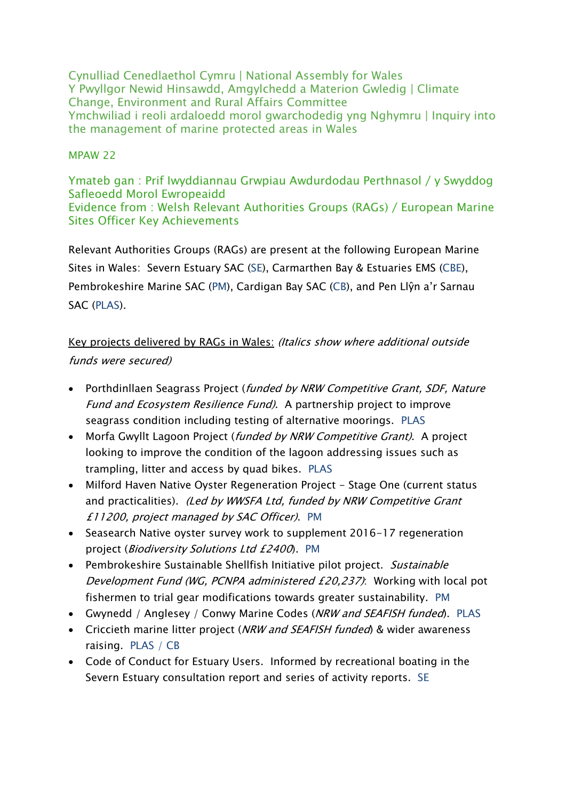Cynulliad Cenedlaethol Cymru | National Assembly for Wales Y Pwyllgor Newid Hinsawdd, Amgylchedd a Materion Gwledig | Climate Change, Environment and Rural Affairs Committee Ymchwiliad i reoli ardaloedd morol gwarchodedig yng Nghymru | Inquiry into the management of marine protected areas in Wales

#### MPAW 22

Ymateb gan : Prif Iwyddiannau Grwpiau Awdurdodau Perthnasol / y Swyddog Safleoedd Morol Ewropeaidd Evidence from : Welsh Relevant Authorities Groups (RAGs) / European Marine Sites Officer Key Achievements

Relevant Authorities Groups (RAGs) are present at the following European Marine Sites in Wales: Severn Estuary SAC (SE), Carmarthen Bay & Estuaries EMS (CBE), Pembrokeshire Marine SAC (PM), Cardigan Bay SAC (CB), and Pen Llŷn a'r Sarnau SAC (PLAS).

## Key projects delivered by RAGs in Wales: (Italics show where additional outside funds were secured)

- Porthdinllaen Seagrass Project (funded by NRW Competitive Grant, SDF, Nature Fund and Ecosystem Resilience Fund). A partnership project to improve seagrass condition including testing of alternative moorings. PLAS
- Morfa Gwyllt Lagoon Project (funded by NRW Competitive Grant). A project looking to improve the condition of the lagoon addressing issues such as trampling, litter and access by quad bikes. PLAS
- Milford Haven Native Oyster Regeneration Project Stage One (current status and practicalities). (Led by WWSFA Ltd, funded by NRW Competitive Grant £11200, project managed by SAC Officer). PM
- Seasearch Native oyster survey work to supplement 2016-17 regeneration project (Biodiversity Solutions Ltd £2400). PM
- Pembrokeshire Sustainable Shellfish Initiative pilot project. Sustainable Development Fund (WG, PCNPA administered £20,237): Working with local pot fishermen to trial gear modifications towards greater sustainability. PM
- Gwynedd / Anglesey / Conwy Marine Codes (NRW and SEAFISH funded). PLAS
- Criccieth marine litter project (NRW and SEAFISH funded) & wider awareness raising. PLAS / CB
- Code of Conduct for Estuary Users. Informed by recreational boating in the Severn Estuary consultation report and series of activity reports. SE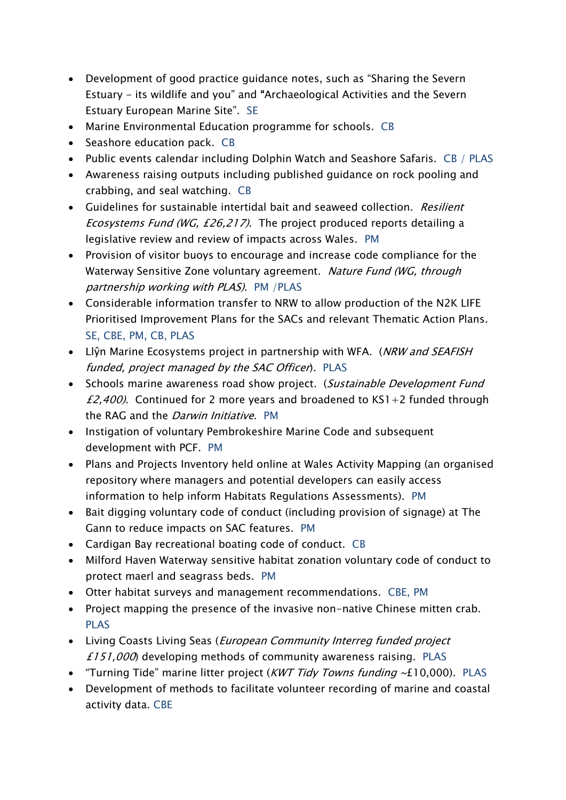- Development of good practice guidance notes, such as "Sharing the Severn Estuary - its wildlife and you" and "Archaeological Activities and the Severn Estuary European Marine Site". SE
- Marine Environmental Education programme for schools. CB
- Seashore education pack. CB
- Public events calendar including Dolphin Watch and Seashore Safaris. CB / PLAS
- Awareness raising outputs including published guidance on rock pooling and crabbing, and seal watching. CB
- Guidelines for sustainable intertidal bait and seaweed collection. Resilient Ecosystems Fund (WG, £26,217). The project produced reports detailing a legislative review and review of impacts across Wales. PM
- Provision of visitor buoys to encourage and increase code compliance for the Waterway Sensitive Zone voluntary agreement. Nature Fund (WG, through partnership working with PLAS). PM /PLAS
- Considerable information transfer to NRW to allow production of the N2K LIFE Prioritised Improvement Plans for the SACs and relevant Thematic Action Plans. SE, CBE, PM, CB, PLAS
- Liŷn Marine Ecosystems project in partnership with WFA. (NRW and SEAFISH funded, project managed by the SAC Officer). PLAS
- Schools marine awareness road show project. (Sustainable Development Fund £2,400). Continued for 2 more years and broadened to  $KSI + 2$  funded through the RAG and the *Darwin Initiative*. PM
- Instigation of voluntary Pembrokeshire Marine Code and subsequent development with PCF. PM
- Plans and Projects Inventory held online at Wales Activity Mapping (an organised repository where managers and potential developers can easily access information to help inform Habitats Regulations Assessments). PM
- Bait digging voluntary code of conduct (including provision of signage) at The Gann to reduce impacts on SAC features. PM
- Cardigan Bay recreational boating code of conduct. CB
- Milford Haven Waterway sensitive habitat zonation voluntary code of conduct to protect maerl and seagrass beds. PM
- Otter habitat surveys and management recommendations. CBE, PM
- Project mapping the presence of the invasive non-native Chinese mitten crab. PLAS
- Living Coasts Living Seas (*European Community Interreg funded project* £151,000) developing methods of community awareness raising. PLAS
- "Turning Tide" marine litter project (KWT Tidy Towns funding  $\sim$ £10,000). PLAS
- Development of methods to facilitate volunteer recording of marine and coastal activity data. CBE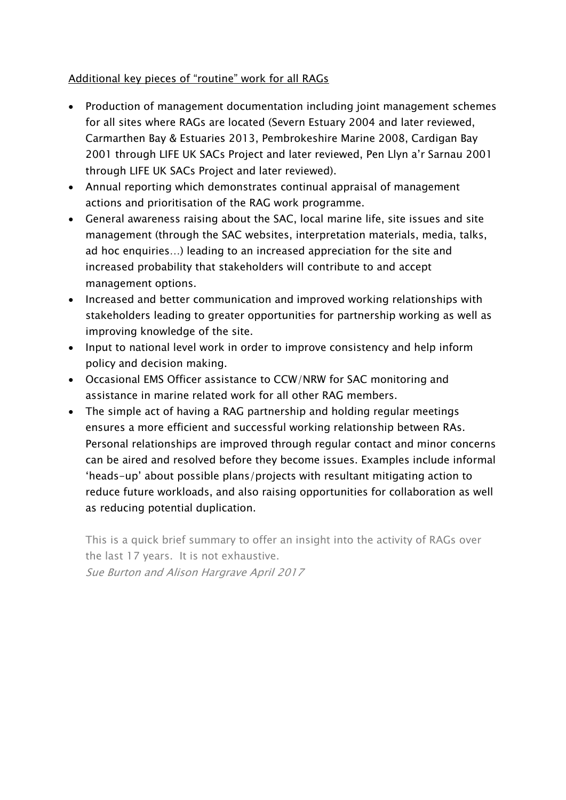#### Additional key pieces of "routine" work for all RAGs

- Production of management documentation including joint management schemes for all sites where RAGs are located (Severn Estuary 2004 and later reviewed, Carmarthen Bay & Estuaries 2013, Pembrokeshire Marine 2008, Cardigan Bay 2001 through LIFE UK SACs Project and later reviewed, Pen Llyn a'r Sarnau 2001 through LIFE UK SACs Project and later reviewed).
- Annual reporting which demonstrates continual appraisal of management actions and prioritisation of the RAG work programme.
- General awareness raising about the SAC, local marine life, site issues and site management (through the SAC websites, interpretation materials, media, talks, ad hoc enquiries…) leading to an increased appreciation for the site and increased probability that stakeholders will contribute to and accept management options.
- Increased and better communication and improved working relationships with stakeholders leading to greater opportunities for partnership working as well as improving knowledge of the site.
- Input to national level work in order to improve consistency and help inform policy and decision making.
- Occasional EMS Officer assistance to CCW/NRW for SAC monitoring and assistance in marine related work for all other RAG members.
- The simple act of having a RAG partnership and holding regular meetings ensures a more efficient and successful working relationship between RAs. Personal relationships are improved through regular contact and minor concerns can be aired and resolved before they become issues. Examples include informal 'heads-up' about possible plans/projects with resultant mitigating action to reduce future workloads, and also raising opportunities for collaboration as well as reducing potential duplication.

This is a quick brief summary to offer an insight into the activity of RAGs over the last 17 years. It is not exhaustive.

Sue Burton and Alison Hargrave April 2017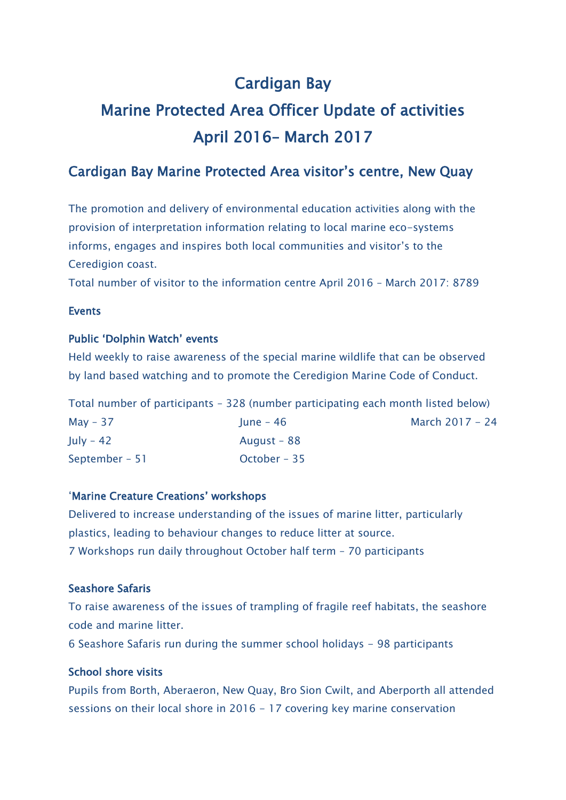## Cardigan Bay

# Marine Protected Area Officer Update of activities April 2016– March 2017

## Cardigan Bay Marine Protected Area visitor's centre, New Quay

The promotion and delivery of environmental education activities along with the provision of interpretation information relating to local marine eco-systems informs, engages and inspires both local communities and visitor's to the Ceredigion coast.

Total number of visitor to the information centre April 2016 – March 2017: 8789

#### Events

#### Public 'Dolphin Watch' events

Held weekly to raise awareness of the special marine wildlife that can be observed by land based watching and to promote the Ceredigion Marine Code of Conduct.

|                | Total number of participants - 328 (number participating each month listed below) |                 |
|----------------|-----------------------------------------------------------------------------------|-----------------|
| $May - 37$     | lune – 46                                                                         | March 2017 - 24 |
| July - 42      | August - 88                                                                       |                 |
| September – 51 | October – 35                                                                      |                 |

#### 'Marine Creature Creations' workshops

Delivered to increase understanding of the issues of marine litter, particularly plastics, leading to behaviour changes to reduce litter at source. 7 Workshops run daily throughout October half term – 70 participants

#### Seashore Safaris

To raise awareness of the issues of trampling of fragile reef habitats, the seashore code and marine litter.

6 Seashore Safaris run during the summer school holidays - 98 participants

#### School shore visits

Pupils from Borth, Aberaeron, New Quay, Bro Sion Cwilt, and Aberporth all attended sessions on their local shore in 2016 - 17 covering key marine conservation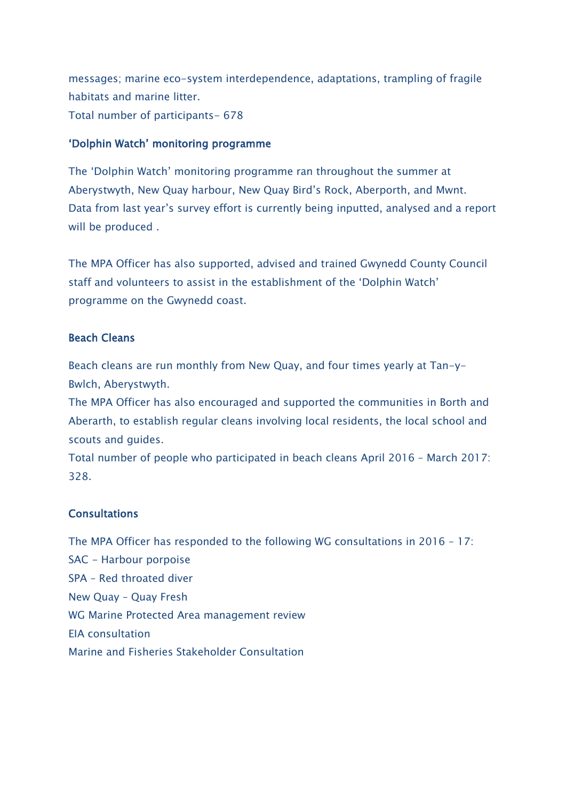messages; marine eco-system interdependence, adaptations, trampling of fragile habitats and marine litter. Total number of participants- 678

#### 'Dolphin Watch' monitoring programme

The 'Dolphin Watch' monitoring programme ran throughout the summer at Aberystwyth, New Quay harbour, New Quay Bird's Rock, Aberporth, and Mwnt. Data from last year's survey effort is currently being inputted, analysed and a report will be produced .

The MPA Officer has also supported, advised and trained Gwynedd County Council staff and volunteers to assist in the establishment of the 'Dolphin Watch' programme on the Gwynedd coast.

#### Beach Cleans

Beach cleans are run monthly from New Quay, and four times yearly at Tan-y-Bwlch, Aberystwyth.

The MPA Officer has also encouraged and supported the communities in Borth and Aberarth, to establish regular cleans involving local residents, the local school and scouts and guides.

Total number of people who participated in beach cleans April 2016 – March 2017: 328.

#### **Consultations**

The MPA Officer has responded to the following WG consultations in 2016 – 17: SAC - Harbour porpoise SPA – Red throated diver New Quay – Quay Fresh WG Marine Protected Area management review EIA consultation Marine and Fisheries Stakeholder Consultation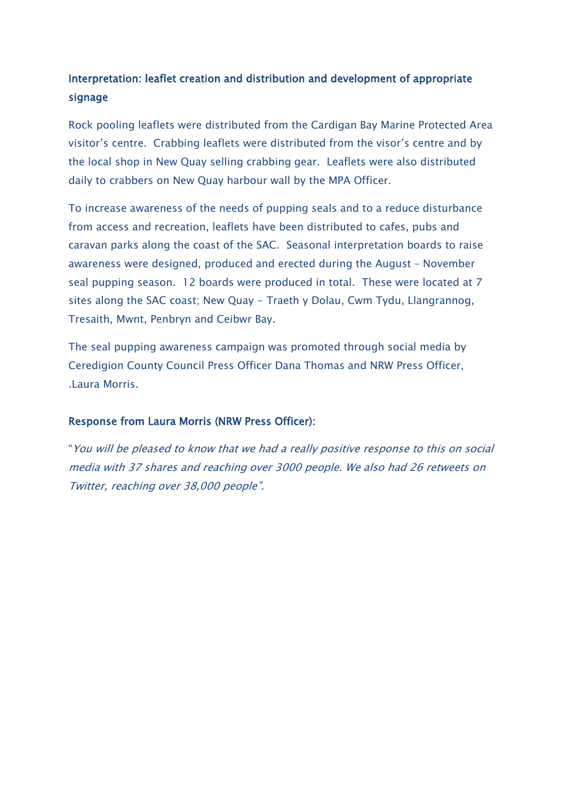## Interpretation: leaflet creation and distribution and development of appropriate signage

Rock pooling leaflets were distributed from the Cardigan Bay Marine Protected Area visitor's centre. Crabbing leaflets were distributed from the visor's centre and by the local shop in New Quay selling crabbing gear. Leaflets were also distributed daily to crabbers on New Quay harbour wall by the MPA Officer.

To increase awareness of the needs of pupping seals and to a reduce disturbance from access and recreation, leaflets have been distributed to cafes, pubs and caravan parks along the coast of the SAC. Seasonal interpretation boards to raise awareness were designed, produced and erected during the August – November seal pupping season. 12 boards were produced in total. These were located at 7 sites along the SAC coast; New Quay - Traeth y Dolau, Cwm Tydu, Llangrannog, Tresaith, Mwnt, Penbryn and Ceibwr Bay.

The seal pupping awareness campaign was promoted through social media by Ceredigion County Council Press Officer Dana Thomas and NRW Press Officer, .Laura Morris.

#### Response from Laura Morris (NRW Press Officer):

"You will be pleased to know that we had a really positive response to this on social media with 37 shares and reaching over 3000 people. We also had 26 retweets on Twitter, reaching over 38,000 people".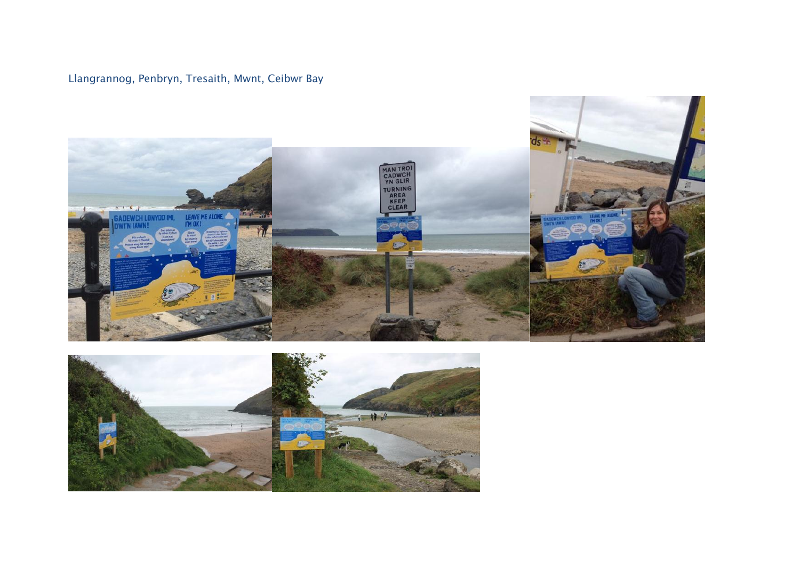## Llangrannog, Penbryn, Tresaith, Mwnt, Ceibwr Bay



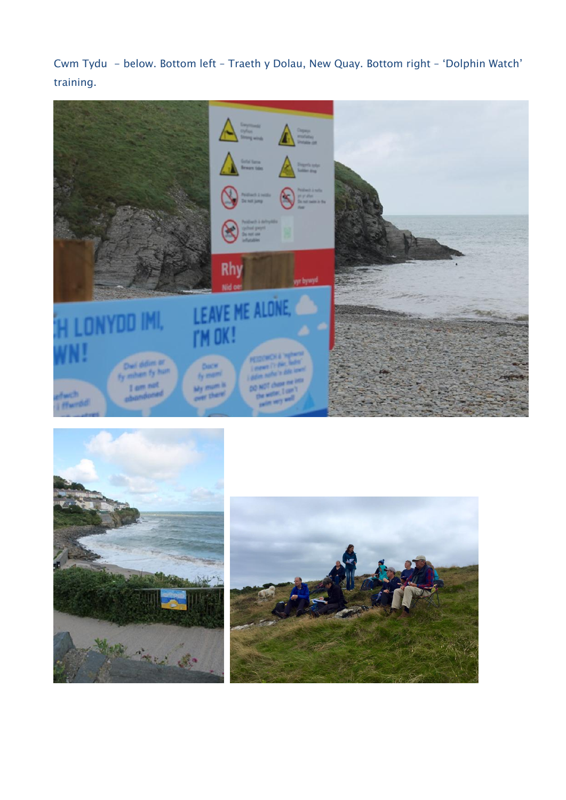Cwm Tydu - below. Bottom left – Traeth y Dolau, New Quay. Bottom right – 'Dolphin Watch' training.